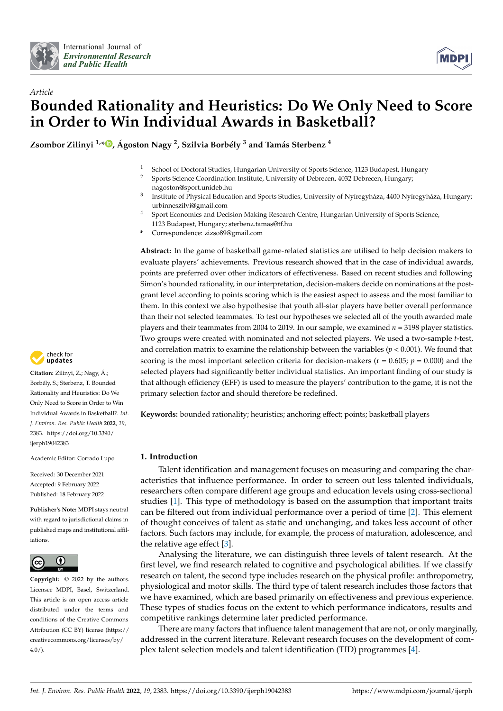



# *Article* **Bounded Rationality and Heuristics: Do We Only Need to Score in Order to Win Individual Awards in Basketball?**

**Zsombor Zilinyi 1,[\\*](https://orcid.org/0000-0002-8462-5328) , Ágoston Nagy <sup>2</sup> , Szilvia Borbély <sup>3</sup> and Tamás Sterbenz <sup>4</sup>**

- <sup>1</sup> School of Doctoral Studies, Hungarian University of Sports Science, 1123 Budapest, Hungary<br><sup>2</sup> Sports Science Coordination Institute, University of Debreesn, 4022 Debreesn, Hungary
- <sup>2</sup> Sports Science Coordination Institute, University of Debrecen, 4032 Debrecen, Hungary; nagoston@sport.unideb.hu
- 3 Institute of Physical Education and Sports Studies, University of Nyíregyháza, 4400 Nyíregyháza, Hungary; urbinneszilvi@gmail.com
- <sup>4</sup> Sport Economics and Decision Making Research Centre, Hungarian University of Sports Science,
- 1123 Budapest, Hungary; sterbenz.tamas@tf.hu **\*** Correspondence: zizso89@gmail.com

**Abstract:** In the game of basketball game-related statistics are utilised to help decision makers to evaluate players' achievements. Previous research showed that in the case of individual awards, points are preferred over other indicators of effectiveness. Based on recent studies and following Simon's bounded rationality, in our interpretation, decision-makers decide on nominations at the postgrant level according to points scoring which is the easiest aspect to assess and the most familiar to them. In this context we also hypothesise that youth all-star players have better overall performance than their not selected teammates. To test our hypotheses we selected all of the youth awarded male players and their teammates from 2004 to 2019. In our sample, we examined *n* = 3198 player statistics. Two groups were created with nominated and not selected players. We used a two-sample *t*-test, and correlation matrix to examine the relationship between the variables  $(p < 0.001)$ . We found that scoring is the most important selection criteria for decision-makers ( $r = 0.605$ ;  $p = 0.000$ ) and the selected players had significantly better individual statistics. An important finding of our study is that although efficiency (EFF) is used to measure the players' contribution to the game, it is not the primary selection factor and should therefore be redefined.

**Keywords:** bounded rationality; heuristics; anchoring effect; points; basketball players

### **1. Introduction**

Talent identification and management focuses on measuring and comparing the characteristics that influence performance. In order to screen out less talented individuals, researchers often compare different age groups and education levels using cross-sectional studies [\[1\]](#page-7-0). This type of methodology is based on the assumption that important traits can be filtered out from individual performance over a period of time [\[2\]](#page-7-1). This element of thought conceives of talent as static and unchanging, and takes less account of other factors. Such factors may include, for example, the process of maturation, adolescence, and the relative age effect [\[3\]](#page-7-2).

Analysing the literature, we can distinguish three levels of talent research. At the first level, we find research related to cognitive and psychological abilities. If we classify research on talent, the second type includes research on the physical profile: anthropometry, physiological and motor skills. The third type of talent research includes those factors that we have examined, which are based primarily on effectiveness and previous experience. These types of studies focus on the extent to which performance indicators, results and competitive rankings determine later predicted performance.

There are many factors that influence talent management that are not, or only marginally, addressed in the current literature. Relevant research focuses on the development of complex talent selection models and talent identification (TID) programmes [\[4\]](#page-7-3).



**Citation:** Zilinyi, Z.; Nagy, Á.; Borbély, S.; Sterbenz, T. Bounded Rationality and Heuristics: Do We Only Need to Score in Order to Win Individual Awards in Basketball?. *Int. J. Environ. Res. Public Health* **2022**, *19*, 2383. [https://doi.org/10.3390/](https://doi.org/10.3390/ijerph19042383) [ijerph19042383](https://doi.org/10.3390/ijerph19042383)

Academic Editor: Corrado Lupo

Received: 30 December 2021 Accepted: 9 February 2022 Published: 18 February 2022

**Publisher's Note:** MDPI stays neutral with regard to jurisdictional claims in published maps and institutional affiliations.



**Copyright:** © 2022 by the authors. Licensee MDPI, Basel, Switzerland. This article is an open access article distributed under the terms and conditions of the Creative Commons Attribution (CC BY) license [\(https://](https://creativecommons.org/licenses/by/4.0/) [creativecommons.org/licenses/by/](https://creativecommons.org/licenses/by/4.0/)  $4.0/$ ).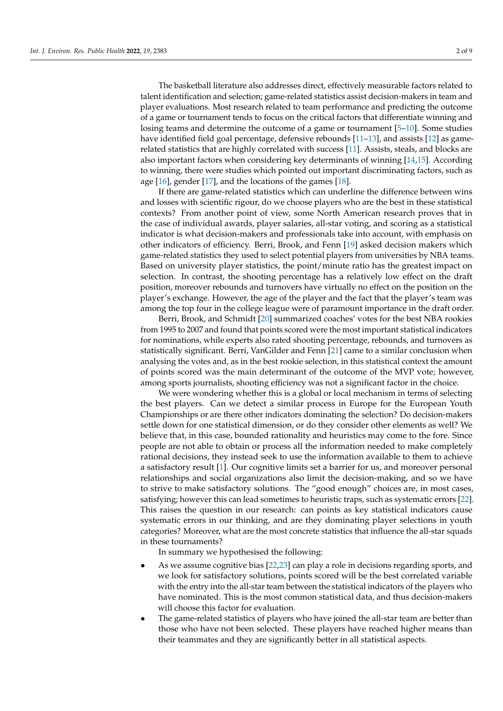The basketball literature also addresses direct, effectively measurable factors related to talent identification and selection; game-related statistics assist decision-makers in team and player evaluations. Most research related to team performance and predicting the outcome of a game or tournament tends to focus on the critical factors that differentiate winning and losing teams and determine the outcome of a game or tournament [\[5](#page-7-4)[–10\]](#page-7-5). Some studies have identified field goal percentage, defensive rebounds [\[11–](#page-8-0)[13\]](#page-8-1), and assists [\[12\]](#page-8-2) as gamerelated statistics that are highly correlated with success [\[11\]](#page-8-0). Assists, steals, and blocks are also important factors when considering key determinants of winning [\[14,](#page-8-3)[15\]](#page-8-4). According to winning, there were studies which pointed out important discriminating factors, such as age  $[16]$ , gender  $[17]$ , and the locations of the games  $[18]$ .

If there are game-related statistics which can underline the difference between wins and losses with scientific rigour, do we choose players who are the best in these statistical contexts? From another point of view, some North American research proves that in the case of individual awards, player salaries, all-star voting, and scoring as a statistical indicator is what decision-makers and professionals take into account, with emphasis on other indicators of efficiency. Berri, Brook, and Fenn [\[19\]](#page-8-8) asked decision makers which game-related statistics they used to select potential players from universities by NBA teams. Based on university player statistics, the point/minute ratio has the greatest impact on selection. In contrast, the shooting percentage has a relatively low effect on the draft position, moreover rebounds and turnovers have virtually no effect on the position on the player's exchange. However, the age of the player and the fact that the player's team was among the top four in the college league were of paramount importance in the draft order.

Berri, Brook, and Schmidt [\[20\]](#page-8-9) summarized coaches' votes for the best NBA rookies from 1995 to 2007 and found that points scored were the most important statistical indicators for nominations, while experts also rated shooting percentage, rebounds, and turnovers as statistically significant. Berri, VanGilder and Fenn [\[21\]](#page-8-10) came to a similar conclusion when analysing the votes and, as in the best rookie selection, in this statistical context the amount of points scored was the main determinant of the outcome of the MVP vote; however, among sports journalists, shooting efficiency was not a significant factor in the choice.

We were wondering whether this is a global or local mechanism in terms of selecting the best players. Can we detect a similar process in Europe for the European Youth Championships or are there other indicators dominating the selection? Do decision-makers settle down for one statistical dimension, or do they consider other elements as well? We believe that, in this case, bounded rationality and heuristics may come to the fore. Since people are not able to obtain or process all the information needed to make completely rational decisions, they instead seek to use the information available to them to achieve a satisfactory result [\[1\]](#page-7-0). Our cognitive limits set a barrier for us, and moreover personal relationships and social organizations also limit the decision-making, and so we have to strive to make satisfactory solutions. The "good enough" choices are, in most cases, satisfying; however this can lead sometimes to heuristic traps, such as systematic errors [\[22\]](#page-8-11). This raises the question in our research: can points as key statistical indicators cause systematic errors in our thinking, and are they dominating player selections in youth categories? Moreover, what are the most concrete statistics that influence the all-star squads in these tournaments?

In summary we hypothesised the following:

- As we assume cognitive bias [\[22,](#page-8-11)[23\]](#page-8-12) can play a role in decisions regarding sports, and we look for satisfactory solutions, points scored will be the best correlated variable with the entry into the all-star team between the statistical indicators of the players who have nominated. This is the most common statistical data, and thus decision-makers will choose this factor for evaluation.
- The game-related statistics of players who have joined the all-star team are better than those who have not been selected. These players have reached higher means than their teammates and they are significantly better in all statistical aspects.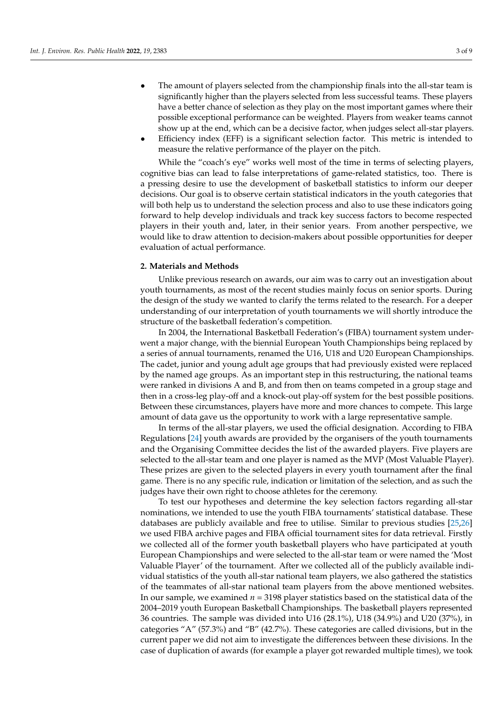- The amount of players selected from the championship finals into the all-star team is significantly higher than the players selected from less successful teams. These players have a better chance of selection as they play on the most important games where their possible exceptional performance can be weighted. Players from weaker teams cannot show up at the end, which can be a decisive factor, when judges select all-star players.
- Efficiency index (EFF) is a significant selection factor. This metric is intended to measure the relative performance of the player on the pitch.

While the "coach's eye" works well most of the time in terms of selecting players, cognitive bias can lead to false interpretations of game-related statistics, too. There is a pressing desire to use the development of basketball statistics to inform our deeper decisions. Our goal is to observe certain statistical indicators in the youth categories that will both help us to understand the selection process and also to use these indicators going forward to help develop individuals and track key success factors to become respected players in their youth and, later, in their senior years. From another perspective, we would like to draw attention to decision-makers about possible opportunities for deeper evaluation of actual performance.

#### **2. Materials and Methods**

Unlike previous research on awards, our aim was to carry out an investigation about youth tournaments, as most of the recent studies mainly focus on senior sports. During the design of the study we wanted to clarify the terms related to the research. For a deeper understanding of our interpretation of youth tournaments we will shortly introduce the structure of the basketball federation's competition.

In 2004, the International Basketball Federation's (FIBA) tournament system underwent a major change, with the biennial European Youth Championships being replaced by a series of annual tournaments, renamed the U16, U18 and U20 European Championships. The cadet, junior and young adult age groups that had previously existed were replaced by the named age groups. As an important step in this restructuring, the national teams were ranked in divisions A and B, and from then on teams competed in a group stage and then in a cross-leg play-off and a knock-out play-off system for the best possible positions. Between these circumstances, players have more and more chances to compete. This large amount of data gave us the opportunity to work with a large representative sample.

In terms of the all-star players, we used the official designation. According to FIBA Regulations [\[24\]](#page-8-13) youth awards are provided by the organisers of the youth tournaments and the Organising Committee decides the list of the awarded players. Five players are selected to the all-star team and one player is named as the MVP (Most Valuable Player). These prizes are given to the selected players in every youth tournament after the final game. There is no any specific rule, indication or limitation of the selection, and as such the judges have their own right to choose athletes for the ceremony.

To test our hypotheses and determine the key selection factors regarding all-star nominations, we intended to use the youth FIBA tournaments' statistical database. These databases are publicly available and free to utilise. Similar to previous studies [\[25](#page-8-14)[,26\]](#page-8-15) we used FIBA archive pages and FIBA official tournament sites for data retrieval. Firstly we collected all of the former youth basketball players who have participated at youth European Championships and were selected to the all-star team or were named the 'Most Valuable Player' of the tournament. After we collected all of the publicly available individual statistics of the youth all-star national team players, we also gathered the statistics of the teammates of all-star national team players from the above mentioned websites. In our sample, we examined *n* = 3198 player statistics based on the statistical data of the 2004–2019 youth European Basketball Championships. The basketball players represented 36 countries. The sample was divided into U16 (28.1%), U18 (34.9%) and U20 (37%), in categories "A" (57.3%) and "B" (42.7%). These categories are called divisions, but in the current paper we did not aim to investigate the differences between these divisions. In the case of duplication of awards (for example a player got rewarded multiple times), we took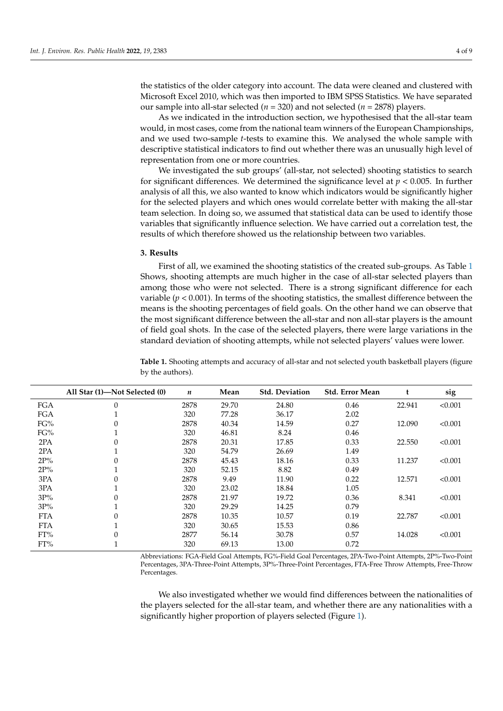the statistics of the older category into account. The data were cleaned and clustered with Microsoft Excel 2010, which was then imported to IBM SPSS Statistics. We have separated our sample into all-star selected (*n* = 320) and not selected (*n* = 2878) players.

As we indicated in the introduction section, we hypothesised that the all-star team would, in most cases, come from the national team winners of the European Championships, and we used two-sample *t*-tests to examine this. We analysed the whole sample with descriptive statistical indicators to find out whether there was an unusually high level of representation from one or more countries.

We investigated the sub groups' (all-star, not selected) shooting statistics to search for significant differences. We determined the significance level at  $p < 0.005$ . In further analysis of all this, we also wanted to know which indicators would be significantly higher for the selected players and which ones would correlate better with making the all-star team selection. In doing so, we assumed that statistical data can be used to identify those variables that significantly influence selection. We have carried out a correlation test, the results of which therefore showed us the relationship between two variables.

#### **3. Results**

First of all, we examined the shooting statistics of the created sub-groups. As Table [1](#page-3-0) Shows, shooting attempts are much higher in the case of all-star selected players than among those who were not selected. There is a strong significant difference for each variable ( $p < 0.001$ ). In terms of the shooting statistics, the smallest difference between the means is the shooting percentages of field goals. On the other hand we can observe that the most significant difference between the all-star and non all-star players is the amount of field goal shots. In the case of the selected players, there were large variations in the standard deviation of shooting attempts, while not selected players' values were lower.

**All Star (1)—Not Selected (0)** *n* **Mean Std. Deviation Std. Error Mean t sig** FGA 0 2878 29.70 24.80 0.46 22.941 <0.001 FGA 1 320 77.28 36.17 2.02 FG% 0 2878 40.34 14.59 0.27 12.090 <0.001 FG% 1 320 46.81 8.24 0.46 2PA 0 2878 20.31 17.85 0.33 22.550 <0.001 2PA 1 320 54.79 26.69 1.49 2P% 0 2878 45.43 18.16 0.33 11.237 <0.001 2P% 1 320 52.15 8.82 0.49 3PA 0 2878 9.49 11.90 0.22 12.571 <0.001 3PA 1 320 23.02 18.84 1.05 3P% 0 2878 21.97 19.72 0.36 8.341 <0.001 3P% 1 320 29.29 14.25 0.79 FTA 0 2878 10.35 10.57 0.19 22.787 <0.001 FTA 1 320 30.65 15.53 0.86 FT% 0 2877 56.14 30.78 0.57 14.028 <0.001 FT% 1 320 69.13 13.00 0.72

<span id="page-3-0"></span>**Table 1.** Shooting attempts and accuracy of all-star and not selected youth basketball players (figure by the authors).

Abbreviations: FGA-Field Goal Attempts, FG%-Field Goal Percentages, 2PA-Two-Point Attempts, 2P%-Two-Point Percentages, 3PA-Three-Point Attempts, 3P%-Three-Point Percentages, FTA-Free Throw Attempts, Free-Throw Percentages.

We also investigated whether we would find differences between the nationalities of the players selected for the all-star team, and whether there are any nationalities with a significantly higher proportion of players selected (Figure [1\)](#page-4-0).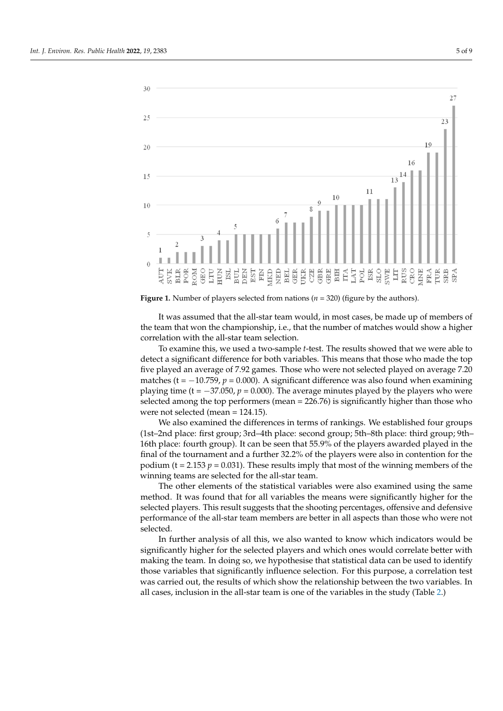<span id="page-4-0"></span>

**Figure 1.** Number of players selected from nations (*n* = 320) (figure by the authors).

It was assumed that the all-star team would, in most cases, be made up of members of  $\alpha$ the team that won the championship, i.e., that the number of matches would show a higher<br>correlation with the all started as election It was assumed that the all-star team would, in most cases, be made up of members of correlation with the all-star team selection.

higher correlation with the all-star team selection. To examine this, we used a two-sample *t*-test. The results showed that we were able to To examine this, we used a two-sample *t*-test. The results showed that we were able detect a significant difference for both variables. This means that those who made the top five played an average of 7.92 games. Those who were not selected played on average 7.20 matches (t =  $-10.759$ , *p* = 0.000). A significant difference was also found when examining playing time (t =  $-37.050$ , *p* = 0.000). The average minutes played by the players who were selected among the top performers (mean =  $226.76$ ) is significantly higher than those who were not selected (mean = 124.15).

We also examined the differences in terms of rankings. We established four groups (1st-2nd place: first group; 3rd-4th place: second group; 5th-8th place: third group; 9th-16th place: fourth group). It can be seen that 55.9% of the players awarded played in the final of the tournament and a further 32.2% of the players were also in contention for the podium (t = 2.153  $p = 0.031$ ). These results imply that most of the winning members of the winning teams are selected for the all-star team.

The other elements of the statistical variables were also examined using the same method. It was found that for all variables the means were significantly higher for the selected players. This result suggests that the shooting percentages, offensive and defensive performance of the all-star team members are better in all aspects than those who were not  $s^{e}}$  selected. selected.

In further analysis of all this, we also wanted to know which indicators would be significantly higher for the selected players and which ones would correlate better with making the team. In doing so, we hypothesise that statistical data can be used to identify those variables that significantly influence selection. For this purpose, a correlation test was carried out, the results of which show the relationship between the two variables. In all cases, inclusion in the all-star team is one of the va[ria](#page-5-0)bles in the study (Table 2.)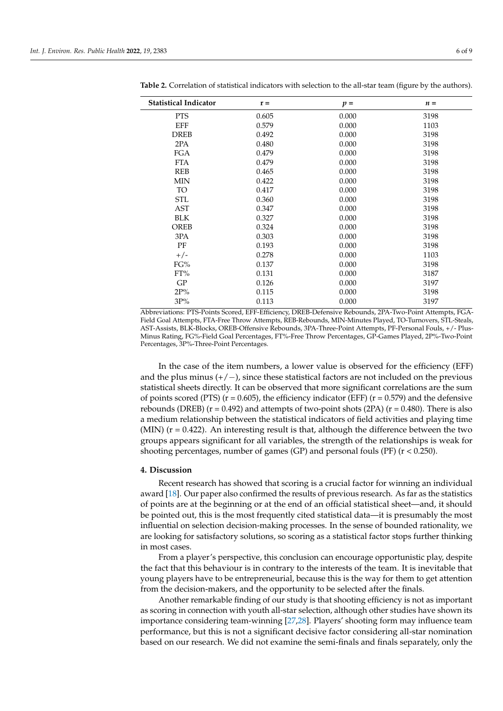| <b>Statistical Indicator</b> | $r =$ | $p =$ | $n =$ |
|------------------------------|-------|-------|-------|
| <b>PTS</b>                   | 0.605 | 0.000 | 3198  |
| EFF                          | 0.579 | 0.000 | 1103  |
| <b>DREB</b>                  | 0.492 | 0.000 | 3198  |
| 2PA                          | 0.480 | 0.000 | 3198  |
| <b>FGA</b>                   | 0.479 | 0.000 | 3198  |
| <b>FTA</b>                   | 0.479 | 0.000 | 3198  |
| <b>REB</b>                   | 0.465 | 0.000 | 3198  |
| <b>MIN</b>                   | 0.422 | 0.000 | 3198  |
| TO                           | 0.417 | 0.000 | 3198  |
| <b>STL</b>                   | 0.360 | 0.000 | 3198  |
| AST                          | 0.347 | 0.000 | 3198  |
| <b>BLK</b>                   | 0.327 | 0.000 | 3198  |
| <b>OREB</b>                  | 0.324 | 0.000 | 3198  |
| 3PA                          | 0.303 | 0.000 | 3198  |
| PF                           | 0.193 | 0.000 | 3198  |
| $+/-$                        | 0.278 | 0.000 | 1103  |
| FG%                          | 0.137 | 0.000 | 3198  |
| $FT\%$                       | 0.131 | 0.000 | 3187  |
| GP                           | 0.126 | 0.000 | 3197  |
| 2P%                          | 0.115 | 0.000 | 3198  |
| 3P%                          | 0.113 | 0.000 | 3197  |

<span id="page-5-0"></span>**Table 2.** Correlation of statistical indicators with selection to the all-star team (figure by the authors).

Abbreviations: PTS-Points Scored, EFF-Efficiency, DREB-Defensive Rebounds, 2PA-Two-Point Attempts, FGA-Field Goal Attempts, FTA-Free Throw Attempts, REB-Rebounds, MIN-Minutes Played, TO-Turnovers, STL-Steals, AST-Assists, BLK-Blocks, OREB-Offensive Rebounds, 3PA-Three-Point Attempts, PF-Personal Fouls, +/- Plus-Minus Rating, FG%-Field Goal Percentages, FT%-Free Throw Percentages, GP-Games Played, 2P%-Two-Point Percentages, 3P%-Three-Point Percentages.

In the case of the item numbers, a lower value is observed for the efficiency (EFF) and the plus minus  $(+/-)$ , since these statistical factors are not included on the previous statistical sheets directly. It can be observed that more significant correlations are the sum of points scored (PTS) ( $r = 0.605$ ), the efficiency indicator (EFF) ( $r = 0.579$ ) and the defensive rebounds (DREB) ( $r = 0.492$ ) and attempts of two-point shots (2PA) ( $r = 0.480$ ). There is also a medium relationship between the statistical indicators of field activities and playing time (MIN)  $(r = 0.422)$ . An interesting result is that, although the difference between the two groups appears significant for all variables, the strength of the relationships is weak for shooting percentages, number of games (GP) and personal fouls (PF) (r < 0.250).

#### **4. Discussion**

Recent research has showed that scoring is a crucial factor for winning an individual award [\[18\]](#page-8-7). Our paper also confirmed the results of previous research. As far as the statistics of points are at the beginning or at the end of an official statistical sheet—and, it should be pointed out, this is the most frequently cited statistical data—it is presumably the most influential on selection decision-making processes. In the sense of bounded rationality, we are looking for satisfactory solutions, so scoring as a statistical factor stops further thinking in most cases.

From a player's perspective, this conclusion can encourage opportunistic play, despite the fact that this behaviour is in contrary to the interests of the team. It is inevitable that young players have to be entrepreneurial, because this is the way for them to get attention from the decision-makers, and the opportunity to be selected after the finals.

Another remarkable finding of our study is that shooting efficiency is not as important as scoring in connection with youth all-star selection, although other studies have shown its importance considering team-winning [\[27,](#page-8-16)[28\]](#page-8-17). Players' shooting form may influence team performance, but this is not a significant decisive factor considering all-star nomination based on our research. We did not examine the semi-finals and finals separately, only the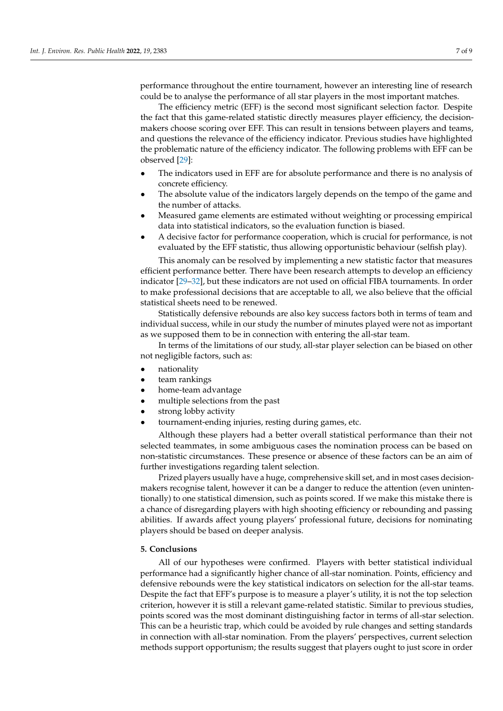performance throughout the entire tournament, however an interesting line of research could be to analyse the performance of all star players in the most important matches.

The efficiency metric (EFF) is the second most significant selection factor. Despite the fact that this game-related statistic directly measures player efficiency, the decisionmakers choose scoring over EFF. This can result in tensions between players and teams, and questions the relevance of the efficiency indicator. Previous studies have highlighted the problematic nature of the efficiency indicator. The following problems with EFF can be observed [\[29\]](#page-8-18):

- The indicators used in EFF are for absolute performance and there is no analysis of concrete efficiency.
- The absolute value of the indicators largely depends on the tempo of the game and the number of attacks.
- Measured game elements are estimated without weighting or processing empirical data into statistical indicators, so the evaluation function is biased.
- A decisive factor for performance cooperation, which is crucial for performance, is not evaluated by the EFF statistic, thus allowing opportunistic behaviour (selfish play).

This anomaly can be resolved by implementing a new statistic factor that measures efficient performance better. There have been research attempts to develop an efficiency indicator [\[29–](#page-8-18)[32\]](#page-8-19), but these indicators are not used on official FIBA tournaments. In order to make professional decisions that are acceptable to all, we also believe that the official statistical sheets need to be renewed.

Statistically defensive rebounds are also key success factors both in terms of team and individual success, while in our study the number of minutes played were not as important as we supposed them to be in connection with entering the all-star team.

In terms of the limitations of our study, all-star player selection can be biased on other not negligible factors, such as:

- nationality
- team rankings
- home-team advantage
- multiple selections from the past
- strong lobby activity
- tournament-ending injuries, resting during games, etc.

Although these players had a better overall statistical performance than their not selected teammates, in some ambiguous cases the nomination process can be based on non-statistic circumstances. These presence or absence of these factors can be an aim of further investigations regarding talent selection.

Prized players usually have a huge, comprehensive skill set, and in most cases decisionmakers recognise talent, however it can be a danger to reduce the attention (even unintentionally) to one statistical dimension, such as points scored. If we make this mistake there is a chance of disregarding players with high shooting efficiency or rebounding and passing abilities. If awards affect young players' professional future, decisions for nominating players should be based on deeper analysis.

## **5. Conclusions**

All of our hypotheses were confirmed. Players with better statistical individual performance had a significantly higher chance of all-star nomination. Points, efficiency and defensive rebounds were the key statistical indicators on selection for the all-star teams. Despite the fact that EFF's purpose is to measure a player's utility, it is not the top selection criterion, however it is still a relevant game-related statistic. Similar to previous studies, points scored was the most dominant distinguishing factor in terms of all-star selection. This can be a heuristic trap, which could be avoided by rule changes and setting standards in connection with all-star nomination. From the players' perspectives, current selection methods support opportunism; the results suggest that players ought to just score in order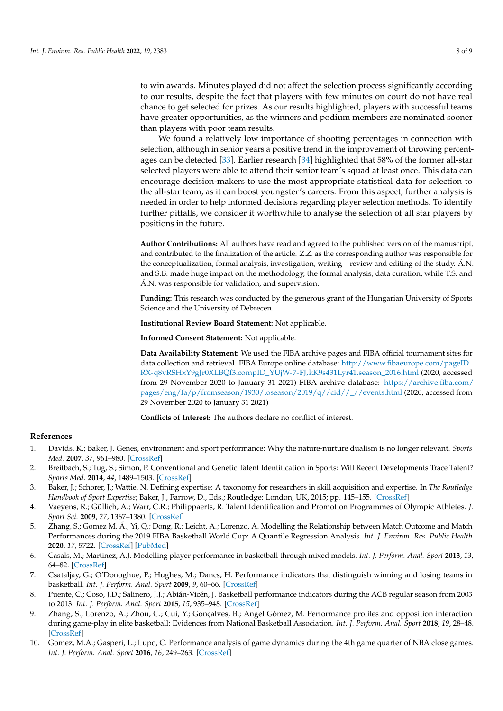to win awards. Minutes played did not affect the selection process significantly according to our results, despite the fact that players with few minutes on court do not have real chance to get selected for prizes. As our results highlighted, players with successful teams have greater opportunities, as the winners and podium members are nominated sooner than players with poor team results.

We found a relatively low importance of shooting percentages in connection with selection, although in senior years a positive trend in the improvement of throwing percent-ages can be detected [\[33\]](#page-8-20). Earlier research [\[34\]](#page-8-21) highlighted that 58% of the former all-star selected players were able to attend their senior team's squad at least once. This data can encourage decision-makers to use the most appropriate statistical data for selection to the all-star team, as it can boost youngster's careers. From this aspect, further analysis is needed in order to help informed decisions regarding player selection methods. To identify further pitfalls, we consider it worthwhile to analyse the selection of all star players by positions in the future.

**Author Contributions:** All authors have read and agreed to the published version of the manuscript, and contributed to the finalization of the article. Z.Z. as the corresponding author was responsible for the conceptualization, formal analysis, investigation, writing—review and editing of the study. Á.N. and S.B. made huge impact on the methodology, the formal analysis, data curation, while T.S. and Á.N. was responsible for validation, and supervision.

**Funding:** This research was conducted by the generous grant of the Hungarian University of Sports Science and the University of Debrecen.

**Institutional Review Board Statement:** Not applicable.

**Informed Consent Statement:** Not applicable.

**Data Availability Statement:** We used the FIBA archive pages and FIBA official tournament sites for data collection and retrieval. FIBA Europe online database: [http://www.fibaeurope.com/pageID\\_](http://www.fibaeurope.com/pageID_RX-q8vRSHxY9gJr0XLBQf3.compID_YUjW-7-FJ,kK9s431Lyr41.season_2016.html) [RX-q8vRSHxY9gJr0XLBQf3.compID\\_YUjW-7-FJ,kK9s431Lyr41.season\\_2016.html](http://www.fibaeurope.com/pageID_RX-q8vRSHxY9gJr0XLBQf3.compID_YUjW-7-FJ,kK9s431Lyr41.season_2016.html) (2020, accessed from 29 November 2020 to January 31 2021) FIBA archive database: [https://archive.fiba.com/](https://archive.fiba.com/pages/eng/fa/p/fromseason/1930/toseason/2019/q//cid//_//events.html) [pages/eng/fa/p/fromseason/1930/toseason/2019/q//cid//\\_//events.html](https://archive.fiba.com/pages/eng/fa/p/fromseason/1930/toseason/2019/q//cid//_//events.html) (2020, accessed from 29 November 2020 to January 31 2021)

**Conflicts of Interest:** The authors declare no conflict of interest.

#### **References**

- <span id="page-7-0"></span>1. Davids, K.; Baker, J. Genes, environment and sport performance: Why the nature-nurture dualism is no longer relevant. *Sports Med.* **2007**, *37*, 961–980. [\[CrossRef\]](http://doi.org/10.2165/00007256-200737110-00004)
- <span id="page-7-1"></span>2. Breitbach, S.; Tug, S.; Simon, P. Conventional and Genetic Talent Identification in Sports: Will Recent Developments Trace Talent? *Sports Med.* **2014**, *44*, 1489–1503. [\[CrossRef\]](http://doi.org/10.1007/s40279-014-0221-7)
- <span id="page-7-2"></span>3. Baker, J.; Schorer, J.; Wattie, N. Defining expertise: A taxonomy for researchers in skill acquisition and expertise. In *The Routledge Handbook of Sport Expertise*; Baker, J., Farrow, D., Eds.; Routledge: London, UK, 2015; pp. 145–155. [\[CrossRef\]](http://doi.org/10.4324/9781315776675-13)
- <span id="page-7-3"></span>4. Vaeyens, R.; Güllich, A.; Warr, C.R.; Philippaerts, R. Talent Identification and Promotion Programmes of Olympic Athletes. *J. Sport Sci.* **2009**, *27*, 1367–1380. [\[CrossRef\]](http://doi.org/10.1080/02640410903110974)
- <span id="page-7-4"></span>5. Zhang, S.; Gomez M, Á.; Yi, Q.; Dong, R.; Leicht, A.; Lorenzo, A. Modelling the Relationship between Match Outcome and Match Performances during the 2019 FIBA Basketball World Cup: A Quantile Regression Analysis. *Int. J. Environ. Res. Public Health* **2020**, *17*, 5722. [\[CrossRef\]](http://doi.org/10.3390/ijerph17165722) [\[PubMed\]](http://www.ncbi.nlm.nih.gov/pubmed/32784740)
- 6. Casals, M.; Martinez, A.J. Modelling player performance in basketball through mixed models. *Int. J. Perform. Anal. Sport* **2013**, *13*, 64–82. [\[CrossRef\]](http://doi.org/10.1080/24748668.2013.11868632)
- 7. Csataljay, G.; O'Donoghue, P.; Hughes, M.; Dancs, H. Performance indicators that distinguish winning and losing teams in basketball. *Int. J. Perform. Anal. Sport* **2009**, *9*, 60–66. [\[CrossRef\]](http://doi.org/10.1080/24748668.2009.11868464)
- 8. Puente, C.; Coso, J.D.; Salinero, J.J.; Abián-Vicén, J. Basketball performance indicators during the ACB regular season from 2003 to 2013. *Int. J. Perform. Anal. Sport* **2015**, *15*, 935–948. [\[CrossRef\]](http://doi.org/10.1080/24748668.2015.11868842)
- 9. Zhang, S.; Lorenzo, A.; Zhou, C.; Cui, Y.; Gonçalves, B.; Angel Gómez, M. Performance profiles and opposition interaction during game-play in elite basketball: Evidences from National Basketball Association. *Int. J. Perform. Anal. Sport* **2018**, *19*, 28–48. [\[CrossRef\]](http://doi.org/10.1080/24748668.2018.1555738)
- <span id="page-7-5"></span>10. Gomez, M.A.; Gasperi, L.; Lupo, C. Performance analysis of game dynamics during the 4th game quarter of NBA close games. *Int. J. Perform. Anal. Sport* **2016**, *16*, 249–263. [\[CrossRef\]](http://doi.org/10.1080/24748668.2016.11868884)